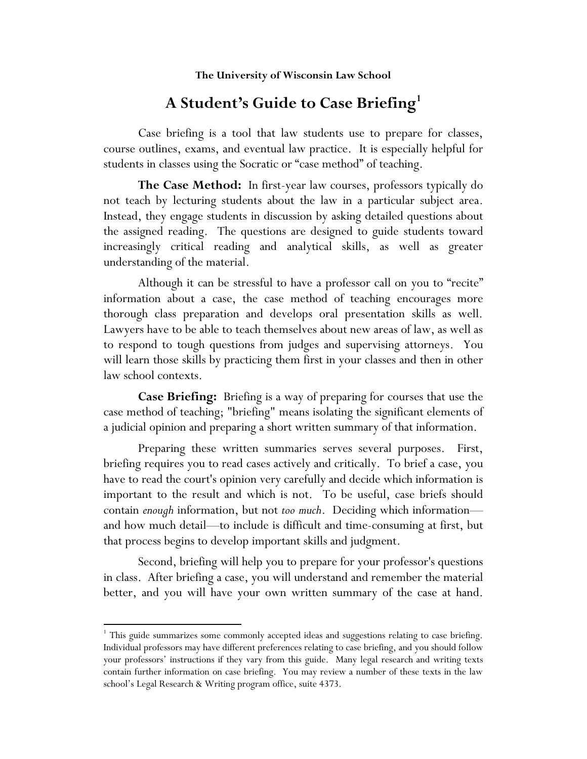## A Student's Guide to Case Briefing<sup>1</sup>

Case briefing is a tool that law students use to prepare for classes, course outlines, exams, and eventual law practice. It is especially helpful for students in classes using the Socratic or "case method" of teaching.

**The Case Method:** In first-year law courses, professors typically do not teach by lecturing students about the law in a particular subject area. Instead, they engage students in discussion by asking detailed questions about the assigned reading. The questions are designed to guide students toward increasingly critical reading and analytical skills, as well as greater understanding of the material.

Although it can be stressful to have a professor call on you to "recite" information about a case, the case method of teaching encourages more thorough class preparation and develops oral presentation skills as well. Lawyers have to be able to teach themselves about new areas of law, as well as to respond to tough questions from judges and supervising attorneys. You will learn those skills by practicing them first in your classes and then in other law school contexts.

**Case Briefing:** Briefing is a way of preparing for courses that use the case method of teaching; "briefing" means isolating the significant elements of a judicial opinion and preparing a short written summary of that information.

Preparing these written summaries serves several purposes. First, briefing requires you to read cases actively and critically. To brief a case, you have to read the court's opinion very carefully and decide which information is important to the result and which is not. To be useful, case briefs should contain *enough* information, but not *too much*. Deciding which information and how much detail—to include is difficult and time-consuming at first, but that process begins to develop important skills and judgment.

Second, briefing will help you to prepare for your professor's questions in class. After briefing a case, you will understand and remember the material better, and you will have your own written summary of the case at hand.

!!!!!!!!!!!!!!!!!!!!!!!!!!!!!!!!!!!!!!!!!!!!!!!!!!!!!!!!!!

<sup>&</sup>lt;sup>1</sup> This guide summarizes some commonly accepted ideas and suggestions relating to case briefing. Individual professors may have different preferences relating to case briefing, and you should follow your professors' instructions if they vary from this guide. Many legal research and writing texts contain further information on case briefing. You may review a number of these texts in the law school's Legal Research & Writing program office, suite 4373.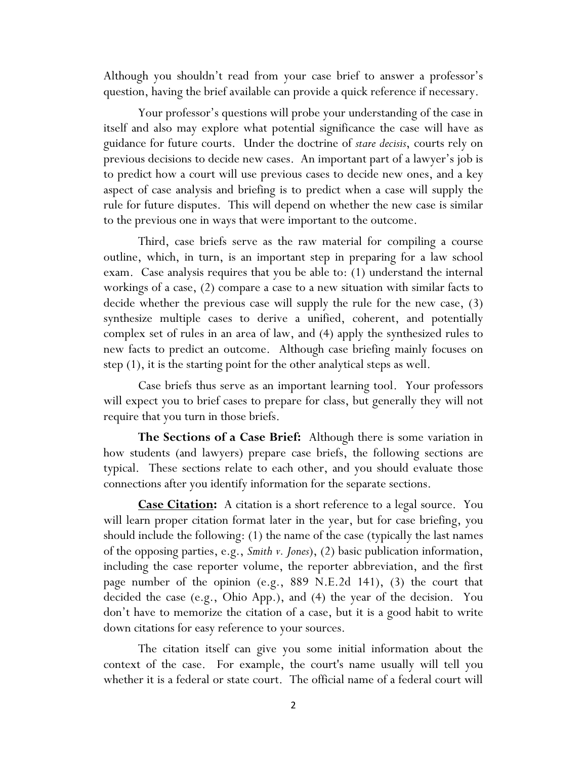Although you shouldn't read from your case brief to answer a professor's question, having the brief available can provide a quick reference if necessary.

Your professor's questions will probe your understanding of the case in itself and also may explore what potential significance the case will have as guidance for future courts. Under the doctrine of *stare decisis*, courts rely on previous decisions to decide new cases. An important part of a lawyer's job is to predict how a court will use previous cases to decide new ones, and a key aspect of case analysis and briefing is to predict when a case will supply the rule for future disputes. This will depend on whether the new case is similar to the previous one in ways that were important to the outcome.

Third, case briefs serve as the raw material for compiling a course outline, which, in turn, is an important step in preparing for a law school exam. Case analysis requires that you be able to: (1) understand the internal workings of a case, (2) compare a case to a new situation with similar facts to decide whether the previous case will supply the rule for the new case, (3) synthesize multiple cases to derive a unified, coherent, and potentially complex set of rules in an area of law, and (4) apply the synthesized rules to new facts to predict an outcome. Although case briefing mainly focuses on step (1), it is the starting point for the other analytical steps as well.

Case briefs thus serve as an important learning tool. Your professors will expect you to brief cases to prepare for class, but generally they will not require that you turn in those briefs.

**The Sections of a Case Brief:** Although there is some variation in how students (and lawyers) prepare case briefs, the following sections are typical. These sections relate to each other, and you should evaluate those connections after you identify information for the separate sections.

**Case Citation:** A citation is a short reference to a legal source. You will learn proper citation format later in the year, but for case briefing, you should include the following: (1) the name of the case (typically the last names of the opposing parties, e.g., *Smith v. Jones*), (2) basic publication information, including the case reporter volume, the reporter abbreviation, and the first page number of the opinion (e.g., 889 N.E.2d 141), (3) the court that decided the case (e.g., Ohio App.), and (4) the year of the decision. You don't have to memorize the citation of a case, but it is a good habit to write down citations for easy reference to your sources.

The citation itself can give you some initial information about the context of the case. For example, the court's name usually will tell you whether it is a federal or state court. The official name of a federal court will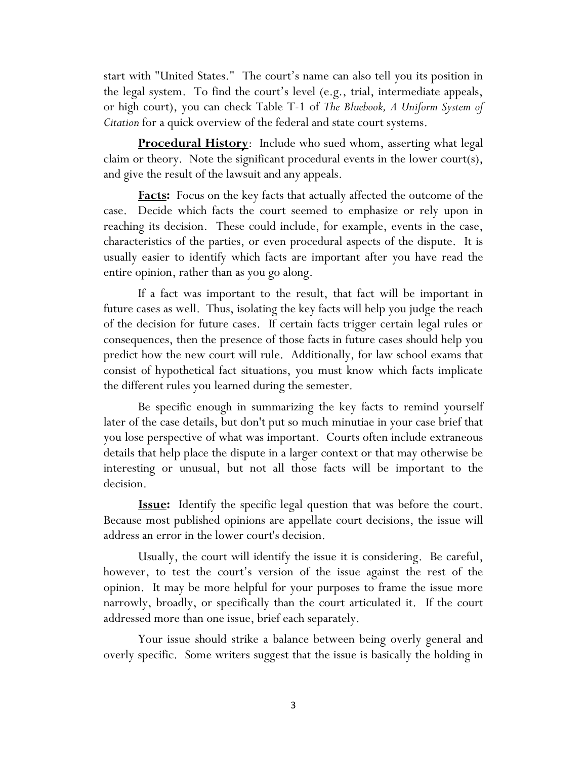start with "United States." The court's name can also tell you its position in the legal system. To find the court's level (e.g., trial, intermediate appeals, or high court), you can check Table T-1 of *The Bluebook, A Uniform System of Citation* for a quick overview of the federal and state court systems.

**Procedural History**: Include who sued whom, asserting what legal claim or theory. Note the significant procedural events in the lower court(s), and give the result of the lawsuit and any appeals.

**Facts:** Focus on the key facts that actually affected the outcome of the case. Decide which facts the court seemed to emphasize or rely upon in reaching its decision. These could include, for example, events in the case, characteristics of the parties, or even procedural aspects of the dispute. It is usually easier to identify which facts are important after you have read the entire opinion, rather than as you go along.

If a fact was important to the result, that fact will be important in future cases as well. Thus, isolating the key facts will help you judge the reach of the decision for future cases. If certain facts trigger certain legal rules or consequences, then the presence of those facts in future cases should help you predict how the new court will rule. Additionally, for law school exams that consist of hypothetical fact situations, you must know which facts implicate the different rules you learned during the semester.

Be specific enough in summarizing the key facts to remind yourself later of the case details, but don't put so much minutiae in your case brief that you lose perspective of what was important. Courts often include extraneous details that help place the dispute in a larger context or that may otherwise be interesting or unusual, but not all those facts will be important to the decision.

**Issue:** Identify the specific legal question that was before the court. Because most published opinions are appellate court decisions, the issue will address an error in the lower court's decision.

Usually, the court will identify the issue it is considering. Be careful, however, to test the court's version of the issue against the rest of the opinion. It may be more helpful for your purposes to frame the issue more narrowly, broadly, or specifically than the court articulated it. If the court addressed more than one issue, brief each separately.

Your issue should strike a balance between being overly general and overly specific. Some writers suggest that the issue is basically the holding in